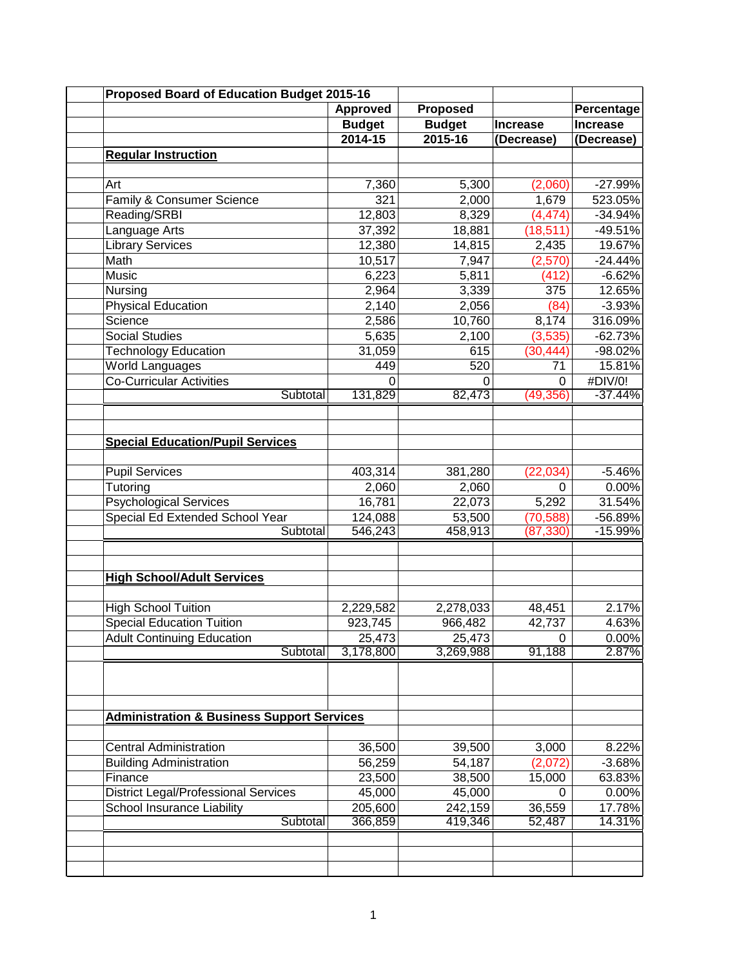| <b>Proposed Board of Education Budget 2015-16</b>     |               |                 |                 |                 |
|-------------------------------------------------------|---------------|-----------------|-----------------|-----------------|
|                                                       | Approved      | <b>Proposed</b> |                 | Percentage      |
|                                                       | <b>Budget</b> | <b>Budget</b>   | <b>Increase</b> | <b>Increase</b> |
|                                                       | 2014-15       | 2015-16         | (Decrease)      | (Decrease)      |
| <b>Regular Instruction</b>                            |               |                 |                 |                 |
|                                                       |               |                 |                 |                 |
| Art                                                   | 7,360         | 5,300           | (2,060)         | $-27.99%$       |
| Family & Consumer Science                             | 321           | 2,000           | 1,679           | 523.05%         |
| Reading/SRBI                                          | 12,803        | 8,329           | (4, 474)        | $-34.94%$       |
| Language Arts                                         | 37,392        | 18,881          | (18, 511)       | $-49.51%$       |
| <b>Library Services</b>                               | 12,380        | 14,815          | 2,435           | 19.67%          |
| Math                                                  | 10,517        | 7,947           | (2,570)         | $-24.44%$       |
| Music                                                 | 6,223         | 5,811           | (412)           | $-6.62%$        |
| Nursing                                               | 2,964         | 3,339           | 375             | 12.65%          |
| <b>Physical Education</b>                             | 2,140         | 2,056           | (84)            | $-3.93%$        |
| Science                                               | 2,586         | 10,760          | 8,174           | 316.09%         |
| Social Studies                                        | 5,635         | 2,100           | (3, 535)        | $-62.73%$       |
| <b>Technology Education</b>                           | 31,059        | 615             | (30, 444)       | -98.02%         |
| <b>World Languages</b>                                | 449           | 520             | 71              | 15.81%          |
| <b>Co-Curricular Activities</b>                       | 0             | 0               | 0               | #DIV/0!         |
| Subtotal                                              | 131,829       | 82,473          | (49, 356)       | $-37.44%$       |
|                                                       |               |                 |                 |                 |
|                                                       |               |                 |                 |                 |
| <b>Special Education/Pupil Services</b>               |               |                 |                 |                 |
|                                                       |               |                 |                 |                 |
| <b>Pupil Services</b>                                 | 403,314       | 381,280         | (22, 034)       | $-5.46%$        |
| Tutoring                                              | 2,060         | 2,060           | 0               | 0.00%           |
| <b>Psychological Services</b>                         | 16,781        | 22,073          | 5,292           | 31.54%          |
| Special Ed Extended School Year                       | 124,088       | 53,500          | (70, 588)       | -56.89%         |
| Subtotal                                              | 546,243       | 458,913         | (87, 330)       | $-15.99%$       |
|                                                       |               |                 |                 |                 |
|                                                       |               |                 |                 |                 |
| <b>High School/Adult Services</b>                     |               |                 |                 |                 |
|                                                       |               |                 |                 |                 |
| <b>High School Tuition</b>                            | 2,229,582     | 2,278,033       | 48,451          | 2.17%           |
| <b>Special Education Tuition</b>                      | 923,745       | 966,482         | 42,737          | 4.63%           |
| <b>Adult Continuing Education</b>                     | 25,473        | 25,473          | 0               | $0.00\%$        |
| Subtotal                                              | 3,178,800     | 3,269,988       | 91,188          | 2.87%           |
|                                                       |               |                 |                 |                 |
|                                                       |               |                 |                 |                 |
|                                                       |               |                 |                 |                 |
|                                                       |               |                 |                 |                 |
| <b>Administration &amp; Business Support Services</b> |               |                 |                 |                 |
|                                                       |               |                 |                 |                 |
| <b>Central Administration</b>                         | 36,500        | 39,500          | 3,000           | 8.22%           |
| <b>Building Administration</b>                        | 56,259        | 54,187          | (2,072)         | $-3.68%$        |
| Finance                                               | 23,500        | 38,500          | 15,000          | 63.83%          |
| <b>District Legal/Professional Services</b>           | 45,000        | 45,000          | 0               | 0.00%           |
| <b>School Insurance Liability</b>                     | 205,600       | 242,159         | 36,559          | 17.78%          |
| Subtotal                                              | 366,859       | 419,346         | 52,487          | 14.31%          |
|                                                       |               |                 |                 |                 |
|                                                       |               |                 |                 |                 |
|                                                       |               |                 |                 |                 |